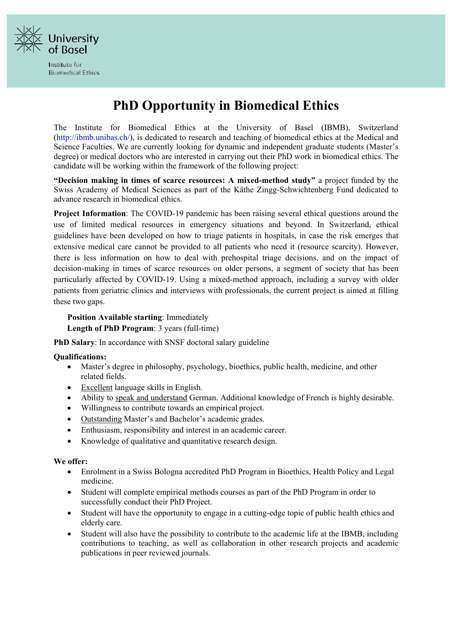

Institute for **Biomedical Ethics** 

## **PhD Opportunity in Biomedical Ethics**

The Institute for Biomedical Ethics at the University of Basel (IBMB), Switzerland [\(http://ibmb.unibas.ch/\), i](http://ibmb.unibas.ch/))s dedicated to research and teaching of biomedical ethics at the Medical and Science Faculties. We are currently looking for dynamic and independent graduate students (Master's degree) or medical doctors who are interested in carrying out their PhD work in biomedical ethics. The candidate will be working within the framework of the following project:

**"Decision making in times of scarce resources: A mixed-method study"** a project funded by the Swiss Academy of Medical Sciences as part of the Käthe Zingg-Schwichtenberg Fund dedicated to advance research in biomedical ethics.

**Project Information**: The COVID-19 pandemic has been raising several ethical questions around the use of limited medical resources in emergency situations and beyond. In Switzerland, ethical guidelines have been developed on how to triage patients in hospitals, in case the risk emerges that extensive medical care cannot be provided to all patients who need it (resource scarcity). However, there is less information on how to deal with prehospital triage decisions, and on the impact of decision-making in times of scarce resources on older persons, a segment of society that has been particularly affected by COVID-19. Using a mixed-method approach, including a survey with older patients from geriatric clinics and interviews with professionals, the current project is aimed at filling these two gaps.

## **Position Available starting**: Immediately

**Length of PhD Program**: 3 years (full-time)

**PhD Salary**: In accordance with SNSF doctoral salary guideline

## **Qualifications:**

- Master's degree in philosophy, psychology, bioethics, public health, medicine, and other related fields.
- Excellent language skills in English.
- Ability to speak and understand German. Additional knowledge of French is highly desirable.
- Willingness to contribute towards an empirical project.
- Outstanding Master's and Bachelor's academic grades.
- Enthusiasm, responsibility and interest in an academic career.
- Knowledge of qualitative and quantitative research design.

## **We offer:**

- Enrolment in a Swiss Bologna accredited PhD Program in Bioethics, Health Policy and Legal medicine.
- Student will complete empirical methods courses as part of the PhD Program in order to successfully conduct their PhD Project.
- Student will have the opportunity to engage in a cutting-edge topic of public health ethics and elderly care.
- Student will also have the possibility to contribute to the academic life at the IBMB, including contributions to teaching, as well as collaboration in other research projects and academic publications in peer reviewed journals.